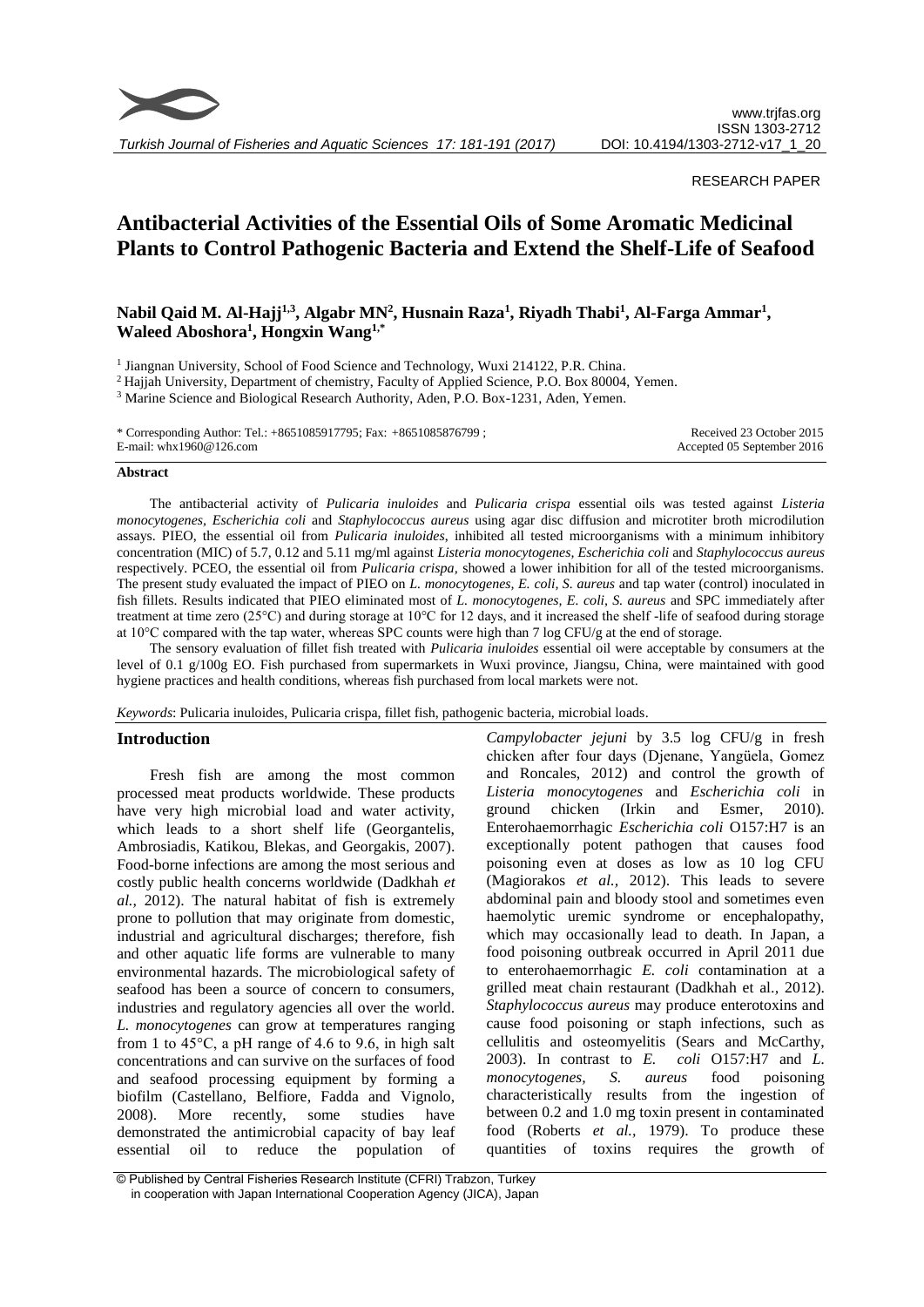

*Turkish Journal of Fisheries and Aquatic Sciences 17: 181-191 (2017)*

RESEARCH PAPER

# **Antibacterial Activities of the Essential Oils of Some Aromatic Medicinal Plants to Control Pathogenic Bacteria and Extend the Shelf-Life of Seafood**

# Nabil Qaid M. Al-Hajj<sup>1,3</sup>, Algabr MN<sup>2</sup>, Husnain Raza<sup>1</sup>, Riyadh Thabi<sup>1</sup>, Al-Farga Ammar<sup>1</sup>, **Waleed Aboshora<sup>1</sup> , Hongxin Wang1,\***

<sup>1</sup> Jiangnan University, School of Food Science and Technology, Wuxi 214122, P.R. China.

<sup>2</sup> Hajjah University, Department of chemistry, Faculty of Applied Science, P.O. Box 80004, Yemen.

<sup>3</sup> Marine Science and Biological Research Authority, Aden, P.O. Box-1231, Aden, Yemen.

\* Corresponding Author: Tel.: +8651085917795; Fax: +8651085876799 ; E-mail: whx1960@126.com

Received 23 October 2015 Accepted 05 September 2016

#### **Abstract**

The antibacterial activity of *Pulicaria inuloides* and *Pulicaria crispa* essential oils was tested against *Listeria monocytogenes, Escherichia coli* and *Staphylococcus aureus* using agar disc diffusion and microtiter broth microdilution assays. PIEO, the essential oil from *Pulicaria inuloides*, inhibited all tested microorganisms with a minimum inhibitory concentration (MIC) of 5.7, 0.12 and 5.11 mg/ml against *Listeria monocytogenes, Escherichia coli* and *Staphylococcus aureus* respectively. PCEO, the essential oil from *Pulicaria crispa,* showed a lower inhibition for all of the tested microorganisms. The present study evaluated the impact of PIEO on *L. monocytogenes, E. coli, S. aureus* and tap water (control) inoculated in fish fillets. Results indicated that PIEO eliminated most of *L. monocytogenes, E. coli, S. aureus* and SPC immediately after treatment at time zero (25°C) and during storage at 10°C for 12 days, and it increased the shelf -life of seafood during storage at 10°C compared with the tap water, whereas SPC counts were high than 7 log CFU/g at the end of storage.

The sensory evaluation of fillet fish treated with *Pulicaria inuloides* essential oil were acceptable by consumers at the level of 0.1 g/100g EO. Fish purchased from supermarkets in Wuxi province, Jiangsu, China, were maintained with good hygiene practices and health conditions, whereas fish purchased from local markets were not.

*Keywords*: Pulicaria inuloides, Pulicaria crispa, fillet fish, pathogenic bacteria, microbial loads.

## **Introduction**

Fresh fish are among the most common processed meat products worldwide. These products have very high microbial load and water activity, which leads to a short shelf life (Georgantelis, Ambrosiadis, Katikou, Blekas, and Georgakis, 2007). Food-borne infections are among the most serious and costly public health concerns worldwide (Dadkhah *et al.,* 2012). The natural habitat of fish is extremely prone to pollution that may originate from domestic, industrial and agricultural discharges; therefore, fish and other aquatic life forms are vulnerable to many environmental hazards. The microbiological safety of seafood has been a source of concern to consumers, industries and regulatory agencies all over the world. *L. monocytogenes* can grow at temperatures ranging from 1 to  $45^{\circ}$ C, a pH range of 4.6 to 9.6, in high salt concentrations and can survive on the surfaces of food and seafood processing equipment by forming a biofilm (Castellano, Belfiore, Fadda and Vignolo, 2008). More recently, some studies have demonstrated the antimicrobial capacity of bay leaf essential oil to reduce the population of

*Campylobacter jejuni* by 3.5 log CFU/g in fresh chicken after four days (Djenane, Yangüela, Gomez and Roncales, 2012) and control the growth of *Listeria monocytogenes* and *Escherichia coli* in ground chicken (Irkin and Esmer, 2010). Enterohaemorrhagic *Escherichia coli* O157:H7 is an exceptionally potent pathogen that causes food poisoning even at doses as low as 10 log CFU (Magiorakos *et al.,* 2012). This leads to severe abdominal pain and bloody stool and sometimes even haemolytic uremic syndrome or encephalopathy, which may occasionally lead to death. In Japan, a food poisoning outbreak occurred in April 2011 due to enterohaemorrhagic *E. coli* contamination at a grilled meat chain restaurant (Dadkhah et al.*,* 2012). *Staphylococcus aureus* may produce enterotoxins and cause food poisoning or staph infections, such as cellulitis and osteomyelitis (Sears and McCarthy, 2003). In contrast to *E. coli* O157:H7 and *L. monocytogenes, S. aureus* food poisoning characteristically results from the ingestion of between 0.2 and 1.0 mg toxin present in contaminated food (Roberts *et al.,* 1979). To produce these quantities of toxins requires the growth of

<sup>©</sup> Published by Central Fisheries Research Institute (CFRI) Trabzon, Turkey in cooperation with Japan International Cooperation Agency (JICA), Japan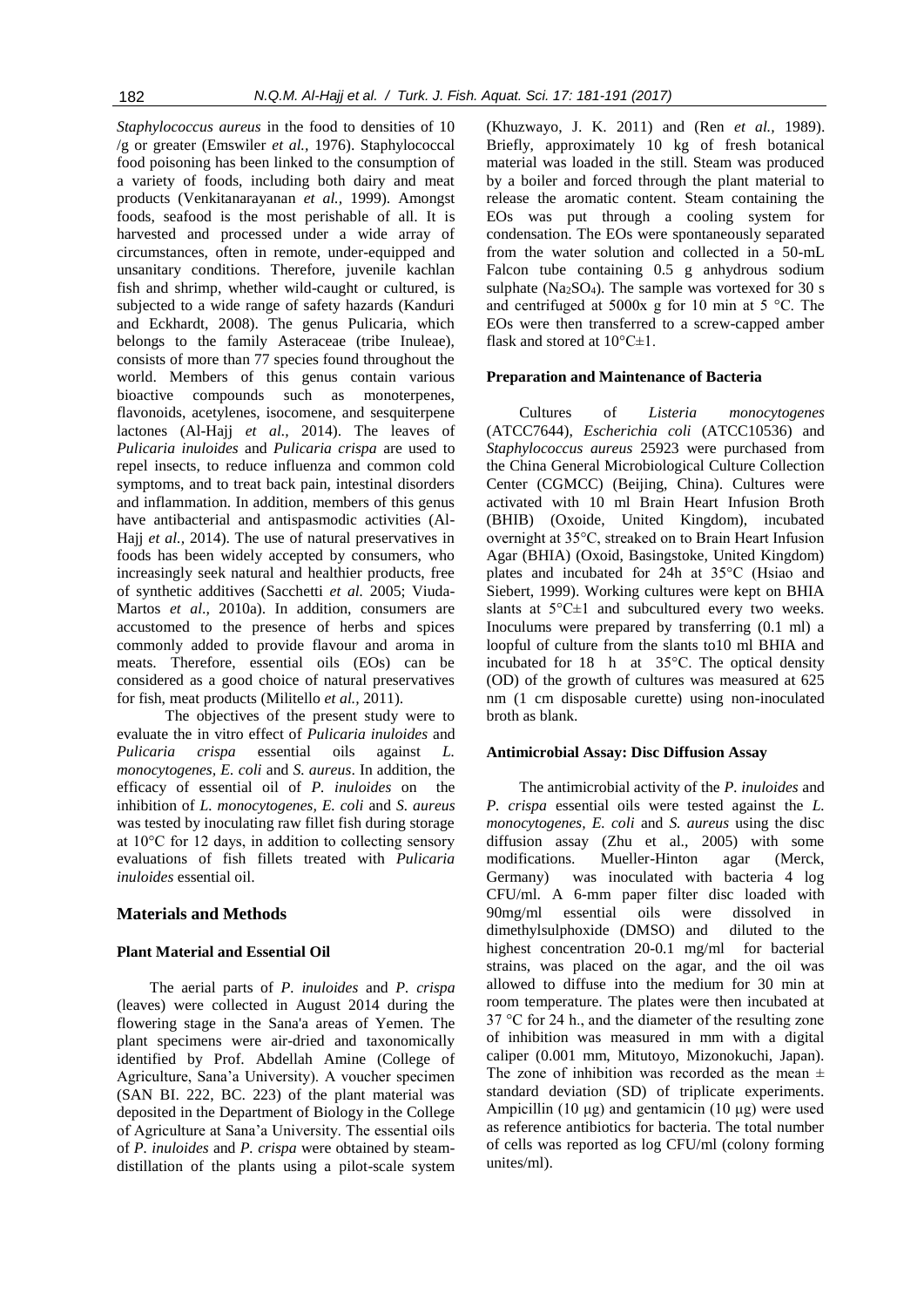*Staphylococcus aureus* in the food to densities of 10 /g or greater (Emswiler *et al.,* 1976). Staphylococcal food poisoning has been linked to the consumption of a variety of foods, including both dairy and meat products (Venkitanarayanan *et al.,* 1999). Amongst foods, seafood is the most perishable of all. It is harvested and processed under a wide array of circumstances, often in remote, under-equipped and unsanitary conditions. Therefore, juvenile kachlan fish and shrimp, whether wild-caught or cultured, is subjected to a wide range of safety hazards (Kanduri and Eckhardt, 2008). The genus Pulicaria, which belongs to the family Asteraceae (tribe Inuleae), consists of more than 77 species found throughout the world. Members of this genus contain various bioactive compounds such as monoterpenes, flavonoids, acetylenes, isocomene, and sesquiterpene lactones (Al-Hajj *et al.,* 2014). The leaves of *Pulicaria inuloides* and *Pulicaria crispa* are used to repel insects, to reduce influenza and common cold symptoms, and to treat back pain, intestinal disorders and inflammation. In addition, members of this genus have antibacterial and antispasmodic activities (Al-Hajj *et al.,* 2014). The use of natural preservatives in foods has been widely accepted by consumers, who increasingly seek natural and healthier products, free of synthetic additives (Sacchetti *et al.* 2005; Viuda-Martos *et al*.*,* 2010a). In addition, consumers are accustomed to the presence of herbs and spices commonly added to provide flavour and aroma in meats. Therefore, essential oils (EOs) can be considered as a good choice of natural preservatives for fish, meat products (Militello *et al.,* 2011).

 The objectives of the present study were to evaluate the in vitro effect of *Pulicaria inuloides* and *Pulicaria crispa* essential oils against *L. monocytogenes, E. coli* and *S. aureus*. In addition, the efficacy of essential oil of *P. inuloides* on the inhibition of *L. monocytogenes, E. coli* and *S. aureus* was tested by inoculating raw fillet fish during storage at 10°C for 12 days, in addition to collecting sensory evaluations of fish fillets treated with *Pulicaria inuloides* essential oil.

# **Materials and Methods**

#### **Plant Material and Essential Oil**

The aerial parts of *P. inuloides* and *P. crispa* (leaves) were collected in August 2014 during the flowering stage in the Sana'a areas of Yemen. The plant specimens were air-dried and taxonomically identified by Prof. Abdellah Amine (College of Agriculture, Sana'a University). A voucher specimen (SAN BI. 222, BC. 223) of the plant material was deposited in the Department of Biology in the College of Agriculture at Sana'a University. The essential oils of *P. inuloides* and *P. crispa* were obtained by steamdistillation of the plants using a pilot-scale system

(Khuzwayo, J. K. 2011) and (Ren *et al.,* 1989). Briefly, approximately 10 kg of fresh botanical material was loaded in the still. Steam was produced by a boiler and forced through the plant material to release the aromatic content. Steam containing the EOs was put through a cooling system for condensation. The EOs were spontaneously separated from the water solution and collected in a 50-mL Falcon tube containing 0.5 g anhydrous sodium sulphate ( $Na<sub>2</sub>SO<sub>4</sub>$ ). The sample was vortexed for 30 s and centrifuged at 5000x g for 10 min at 5 °C. The EOs were then transferred to a screw-capped amber flask and stored at  $10^{\circ}$ C $\pm$ 1.

#### **Preparation and Maintenance of Bacteria**

Cultures of *Listeria monocytogenes* (ATCC7644), *Escherichia coli* (ATCC10536) and *Staphylococcus aureus* 25923 were purchased from the China General Microbiological Culture Collection Center (CGMCC) (Beijing, China). Cultures were activated with 10 ml Brain Heart Infusion Broth (BHIB) (Oxoide, United Kingdom), incubated overnight at 35°C, streaked on to Brain Heart Infusion Agar (BHIA) (Oxoid, Basingstoke, United Kingdom) plates and incubated for 24h at 35°C (Hsiao and Siebert, 1999). Working cultures were kept on BHIA slants at  $5^{\circ}$ C $\pm$ 1 and subcultured every two weeks. Inoculums were prepared by transferring (0.1 ml) a loopful of culture from the slants to10 ml BHIA and incubated for 18 h at 35°C. The optical density (OD) of the growth of cultures was measured at 625 nm (1 cm disposable curette) using non-inoculated broth as blank.

#### **Antimicrobial Assay: Disc Diffusion Assay**

The antimicrobial activity of the *P. inuloides* and *P. crispa* essential oils were tested against the *L. monocytogenes, E. coli* and *S. aureus* using the disc diffusion assay (Zhu et al., 2005) with some modifications. Mueller-Hinton agar (Merck, Germany) was inoculated with bacteria 4 log CFU/ml. A 6-mm paper filter disc loaded with 90mg/ml essential oils were dissolved in dimethylsulphoxide (DMSO) and diluted to the highest concentration 20-0.1 mg/ml for bacterial strains, was placed on the agar, and the oil was allowed to diffuse into the medium for 30 min at room temperature. The plates were then incubated at 37 °C for 24 h., and the diameter of the resulting zone of inhibition was measured in mm with a digital caliper (0.001 mm, Mitutoyo, Mizonokuchi, Japan). The zone of inhibition was recorded as the mean  $\pm$ standard deviation (SD) of triplicate experiments. Ampicillin (10 μg) and gentamicin (10 μg) were used as reference antibiotics for bacteria. The total number of cells was reported as log CFU/ml (colony forming unites/ml).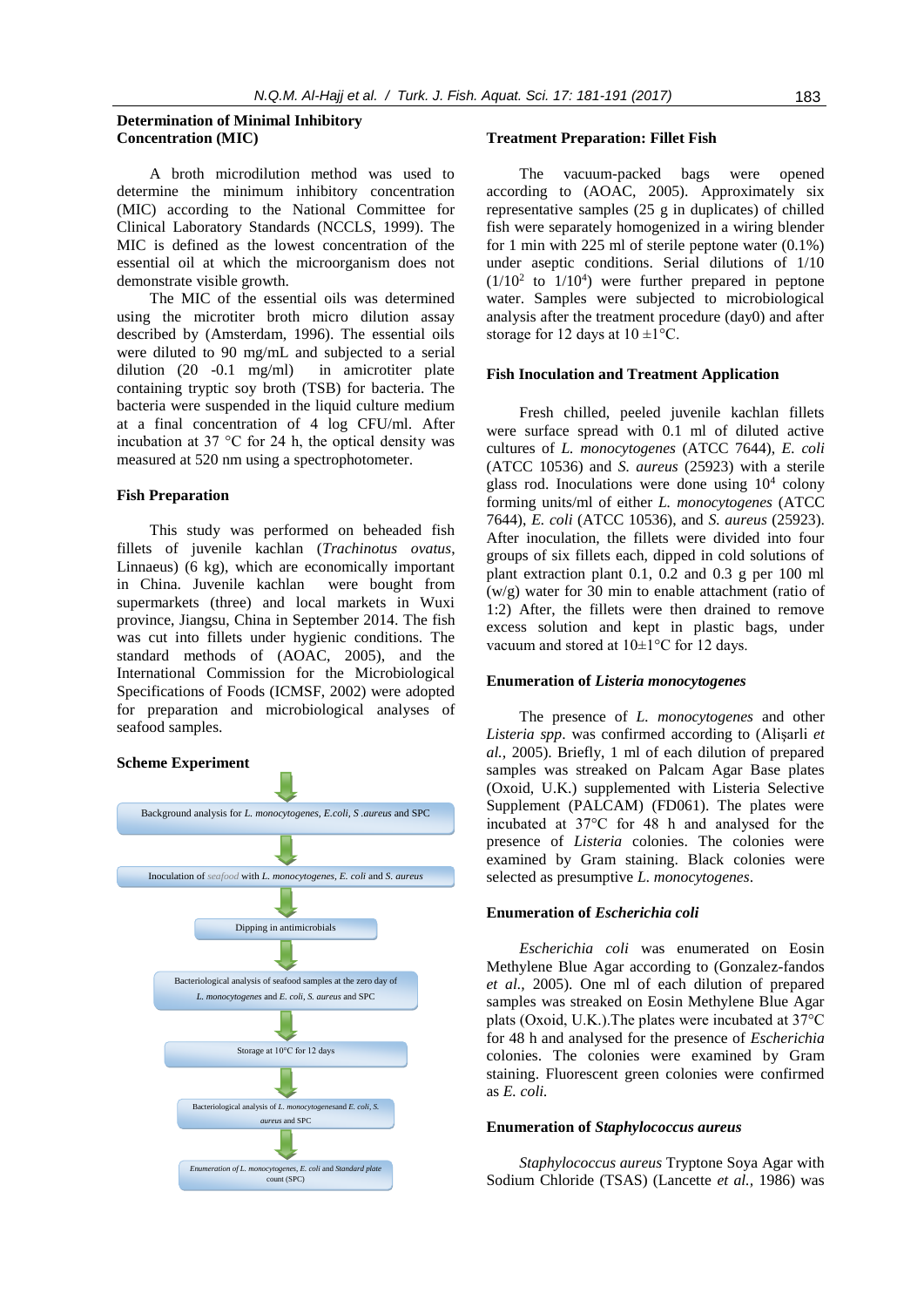## **Determination of Minimal Inhibitory Concentration (MIC)**

A broth microdilution method was used to determine the minimum inhibitory concentration (MIC) according to the National Committee for Clinical Laboratory Standards (NCCLS, 1999). The MIC is defined as the lowest concentration of the essential oil at which the microorganism does not demonstrate visible growth.

The MIC of the essential oils was determined using the microtiter broth micro dilution assay described by (Amsterdam, 1996). The essential oils were diluted to 90 mg/mL and subjected to a serial dilution (20 -0.1 mg/ml) in amicrotiter plate containing tryptic soy broth (TSB) for bacteria. The bacteria were suspended in the liquid culture medium at a final concentration of 4 log CFU/ml. After incubation at 37 °C for 24 h, the optical density was measured at 520 nm using a spectrophotometer.

#### **Fish Preparation**

This study was performed on beheaded fish fillets of juvenile kachlan (*Trachinotus ovatus*, Linnaeus) (6 kg), which are economically important in China. Juvenile kachlan were bought from supermarkets (three) and local markets in Wuxi province, Jiangsu, China in September 2014. The fish was cut into fillets under hygienic conditions. The standard methods of (AOAC, 2005), and the International Commission for the Microbiological Specifications of Foods (ICMSF, 2002) were adopted for preparation and microbiological analyses of seafood samples.

# **Scheme Experiment**



#### **Treatment Preparation: Fillet Fish**

The vacuum-packed bags were opened according to (AOAC, 2005). Approximately six representative samples (25 g in duplicates) of chilled fish were separately homogenized in a wiring blender for 1 min with 225 ml of sterile peptone water (0.1%) under aseptic conditions. Serial dilutions of 1/10  $(1/10^2)$  to  $1/10^4$ ) were further prepared in peptone water. Samples were subjected to microbiological analysis after the treatment procedure (day0) and after storage for 12 days at  $10 \pm 1$ °C.

#### **Fish Inoculation and Treatment Application**

Fresh chilled, peeled juvenile kachlan fillets were surface spread with 0.1 ml of diluted active cultures of *L. monocytogenes* (ATCC 7644), *E. coli* (ATCC 10536) and *S. aureus* (25923) with a sterile glass rod. Inoculations were done using  $10<sup>4</sup>$  colony forming units/ml of either *L. monocytogenes* (ATCC 7644), *E. coli* (ATCC 10536), and *S. aureus* (25923). After inoculation, the fillets were divided into four groups of six fillets each, dipped in cold solutions of plant extraction plant 0.1, 0.2 and 0.3 g per 100 ml (w/g) water for 30 min to enable attachment (ratio of 1:2) After, the fillets were then drained to remove excess solution and kept in plastic bags, under vacuum and stored at  $10 \pm 1$ °C for 12 days.

#### **Enumeration of** *Listeria monocytogenes*

The presence of *L. monocytogenes* and other *Listeria spp*. was confirmed according to (Alişarli *et al.,* 2005). Briefly, 1 ml of each dilution of prepared samples was streaked on Palcam Agar Base plates (Oxoid, U.K.) supplemented with Listeria Selective Supplement (PALCAM) (FD061). The plates were incubated at 37°C for 48 h and analysed for the presence of *Listeria* colonies. The colonies were examined by Gram staining. Black colonies were selected as presumptive *L. monocytogenes*.

#### **Enumeration of** *Escherichia coli*

*Escherichia coli* was enumerated on Eosin Methylene Blue Agar according to (Gonzalez-fandos *et al.,* 2005). One ml of each dilution of prepared samples was streaked on Eosin Methylene Blue Agar plats (Oxoid, U.K.).The plates were incubated at 37°C for 48 h and analysed for the presence of *Escherichia* colonies. The colonies were examined by Gram staining. Fluorescent green colonies were confirmed as *E. coli.*

#### **Enumeration of** *Staphylococcus aureus*

*Staphylococcus aureus* Tryptone Soya Agar with Sodium Chloride (TSAS) (Lancette *et al.,* 1986) was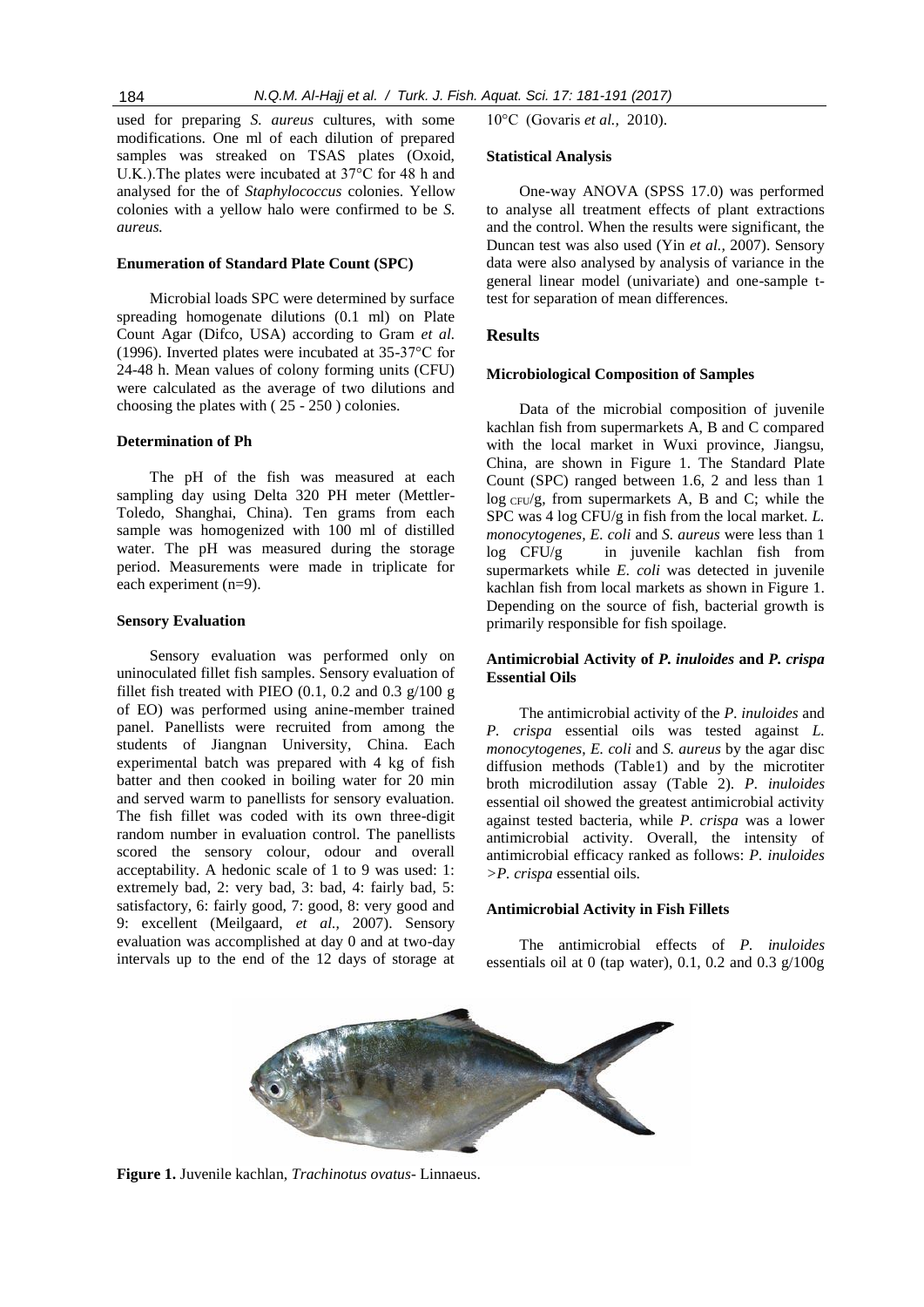used for preparing *S. aureus* cultures, with some modifications. One ml of each dilution of prepared samples was streaked on TSAS plates (Oxoid, U.K.).The plates were incubated at 37°C for 48 h and analysed for the of *Staphylococcus* colonies. Yellow colonies with a yellow halo were confirmed to be *S. aureus.*

#### **Enumeration of Standard Plate Count (SPC)**

Microbial loads SPC were determined by surface spreading homogenate dilutions (0.1 ml) on Plate Count Agar (Difco, USA) according to Gram *et al.* (1996). Inverted plates were incubated at 35-37°C for 24-48 h. Mean values of colony forming units (CFU) were calculated as the average of two dilutions and choosing the plates with ( 25 - 250 ) colonies.

# **Determination of Ph**

The pH of the fish was measured at each sampling day using Delta 320 PH meter (Mettler-Toledo, Shanghai, China). Ten grams from each sample was homogenized with 100 ml of distilled water. The pH was measured during the storage period. Measurements were made in triplicate for each experiment (n=9).

#### **Sensory Evaluation**

Sensory evaluation was performed only on uninoculated fillet fish samples. Sensory evaluation of fillet fish treated with PIEO  $(0.1, 0.2 \text{ and } 0.3 \text{ g}/100 \text{ g})$ of EO) was performed using anine-member trained panel. Panellists were recruited from among the students of Jiangnan University, China. Each experimental batch was prepared with 4 kg of fish batter and then cooked in boiling water for 20 min and served warm to panellists for sensory evaluation. The fish fillet was coded with its own three-digit random number in evaluation control. The panellists scored the sensory colour, odour and overall acceptability. A hedonic scale of 1 to 9 was used: 1: extremely bad, 2: very bad, 3: bad, 4: fairly bad, 5: satisfactory, 6: fairly good, 7: good, 8: very good and 9: excellent (Meilgaard, *et al.,* 2007). Sensory evaluation was accomplished at day 0 and at two-day intervals up to the end of the 12 days of storage at 10°C (Govaris *et al.,* 2010).

# **Statistical Analysis**

One-way ANOVA (SPSS 17.0) was performed to analyse all treatment effects of plant extractions and the control. When the results were significant, the Duncan test was also used (Yin *et al.,* 2007). Sensory data were also analysed by analysis of variance in the general linear model (univariate) and one-sample ttest for separation of mean differences.

# **Results**

#### **Microbiological Composition of Samples**

Data of the microbial composition of juvenile kachlan fish from supermarkets A, B and C compared with the local market in Wuxi province, Jiangsu, China, are shown in Figure 1. The Standard Plate Count (SPC) ranged between 1.6, 2 and less than 1 log CFU/g, from supermarkets A, B and C; while the SPC was 4 log CFU/g in fish from the local market. *L. monocytogenes, E. coli* and *S. aureus* were less than 1 log CFU/g in juvenile kachlan fish from supermarkets while *E. coli* was detected in juvenile kachlan fish from local markets as shown in Figure 1. Depending on the source of fish, bacterial growth is primarily responsible for fish spoilage.

# **Antimicrobial Activity of** *P. inuloides* **and** *P. crispa* **Essential Oils**

The antimicrobial activity of the *P. inuloides* and *P. crispa* essential oils was tested against *L. monocytogenes*, *E. coli* and *S. aureus* by the agar disc diffusion methods (Table1) and by the microtiter broth microdilution assay (Table 2). *P. inuloides* essential oil showed the greatest antimicrobial activity against tested bacteria, while *P. crispa* was a lower antimicrobial activity. Overall, the intensity of antimicrobial efficacy ranked as follows: *P. inuloides >P. crispa* essential oils.

#### **Antimicrobial Activity in Fish Fillets**

The antimicrobial effects of *P. inuloides* essentials oil at 0 (tap water), 0.1, 0.2 and 0.3  $g/100g$ 



**Figure 1.** Juvenile kachlan, *Trachinotus ovatus*- Linnaeus.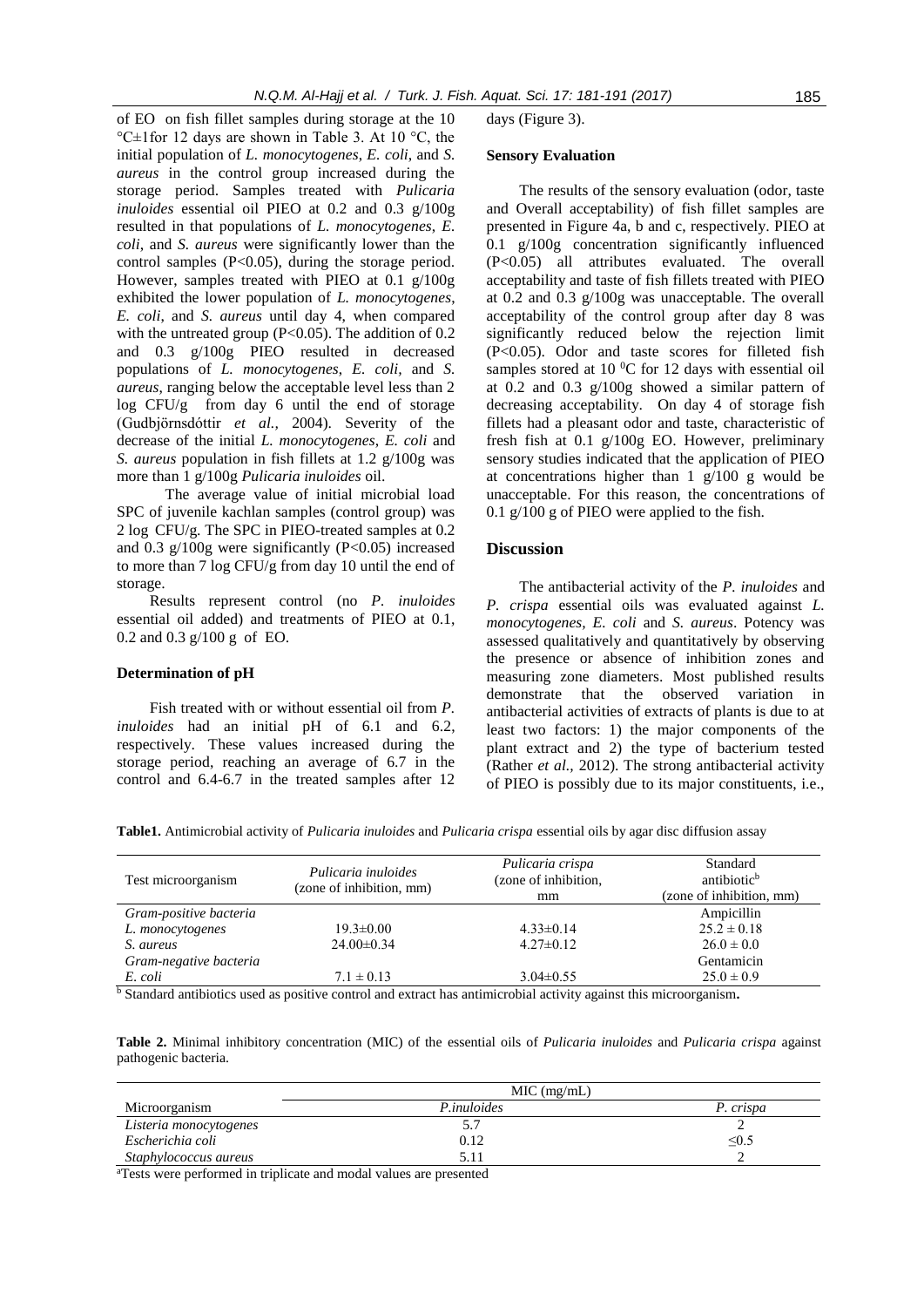of EO on fish fillet samples during storage at the 10 °C±1for 12 days are shown in Table 3. At 10 °C, the initial population of *L. monocytogenes*, *E. coli*, and *S. aureus* in the control group increased during the storage period. Samples treated with *Pulicaria inuloides* essential oil PIEO at 0.2 and 0.3 g/100g resulted in that populations of *L. monocytogenes*, *E. coli*, and *S. aureus* were significantly lower than the control samples (P<0.05), during the storage period. However, samples treated with PIEO at 0.1 g/100g exhibited the lower population of *L. monocytogenes*, *E. coli*, and *S. aureus* until day 4, when compared with the untreated group  $(P<0.05)$ . The addition of 0.2 and 0.3 g/100g PIEO resulted in decreased populations of *L. monocytogenes*, *E. coli,* and *S. aureus*, ranging below the acceptable level less than 2 log CFU/g from day 6 until the end of storage (Gudbjörnsdóttir *et al.,* 2004). Severity of the decrease of the initial *L. monocytogenes*, *E. coli* and *S. aureus* population in fish fillets at 1.2 g/100g was more than 1 g/100g *Pulicaria inuloides* oil.

 The average value of initial microbial load SPC of juvenile kachlan samples (control group) was 2 log CFU/g. The SPC in PIEO-treated samples at 0.2 and 0.3  $g/100g$  were significantly (P<0.05) increased to more than 7 log CFU/g from day 10 until the end of storage.

Results represent control (no *P. inuloides* essential oil added) and treatments of PIEO at 0.1, 0.2 and 0.3 g/100 g of EO.

#### **Determination of pH**

Fish treated with or without essential oil from *P. inuloides* had an initial pH of 6.1 and 6.2, respectively. These values increased during the storage period, reaching an average of 6.7 in the control and 6.4-6.7 in the treated samples after 12 days (Figure 3).

#### **Sensory Evaluation**

The results of the sensory evaluation (odor, taste and Overall acceptability) of fish fillet samples are presented in Figure 4a, b and c, respectively. PIEO at 0.1 g/100g concentration significantly influenced (P<0.05) all attributes evaluated. The overall acceptability and taste of fish fillets treated with PIEO at 0.2 and 0.3 g/100g was unacceptable. The overall acceptability of the control group after day 8 was significantly reduced below the rejection limit (P<0.05). Odor and taste scores for filleted fish samples stored at 10  $\rm{^0C}$  for 12 days with essential oil at 0.2 and 0.3 g/100g showed a similar pattern of decreasing acceptability. On day 4 of storage fish fillets had a pleasant odor and taste, characteristic of fresh fish at 0.1 g/100g EO. However, preliminary sensory studies indicated that the application of PIEO at concentrations higher than 1 g/100 g would be unacceptable. For this reason, the concentrations of 0.1 g/100 g of PIEO were applied to the fish.

# **Discussion**

The antibacterial activity of the *P. inuloides* and *P. crispa* essential oils was evaluated against *L. monocytogenes, E. coli* and *S. aureus*. Potency was assessed qualitatively and quantitatively by observing the presence or absence of inhibition zones and measuring zone diameters. Most published results demonstrate that the observed variation in antibacterial activities of extracts of plants is due to at least two factors: 1) the major components of the plant extract and 2) the type of bacterium tested (Rather *et al.,* 2012). The strong antibacterial activity of PIEO is possibly due to its major constituents, i.e.,

**Table1.** Antimicrobial activity of *Pulicaria inuloides* and *Pulicaria crispa* essential oils by agar disc diffusion assay

| Test microorganism     | Pulicaria inuloides<br>(zone of inhibition, mm) | Pulicaria crispa<br>(zone of inhibition,<br>mm | Standard<br>antibiotic <sup>b</sup><br>(zone of inhibition, mm) |
|------------------------|-------------------------------------------------|------------------------------------------------|-----------------------------------------------------------------|
| Gram-positive bacteria |                                                 |                                                | Ampicillin                                                      |
| L. monocytogenes       | $19.3 \pm 0.00$                                 | $4.33 \pm 0.14$                                | $25.2 \pm 0.18$                                                 |
| S. aureus              | $24.00 \pm 0.34$                                | $4.27 \pm 0.12$                                | $26.0 \pm 0.0$                                                  |
| Gram-negative bacteria |                                                 |                                                | Gentamicin                                                      |
| E. coli                | $7.1 \pm 0.13$                                  | $3.04 \pm 0.55$                                | $25.0 \pm 0.9$                                                  |

<sup>b</sup> Standard antibiotics used as positive control and extract has antimicrobial activity against this microorganism**.**

**Table 2.** Minimal inhibitory concentration (MIC) of the essential oils of *Pulicaria inuloides* and *Pulicaria crispa* against pathogenic bacteria.

|                                         | MIC (mg/mL) |           |
|-----------------------------------------|-------------|-----------|
| Microorganism                           | P.inuloides | P. crispa |
| Listeria monocytogenes                  |             |           |
| Escherichia coli                        | 0.12        | ≤0.5      |
| Staphylococcus aureus                   | 5.11        |           |
| $\sim$<br><b><i>CONTRACTOR</i></b><br>. |             |           |

aTests were performed in triplicate and modal values are presented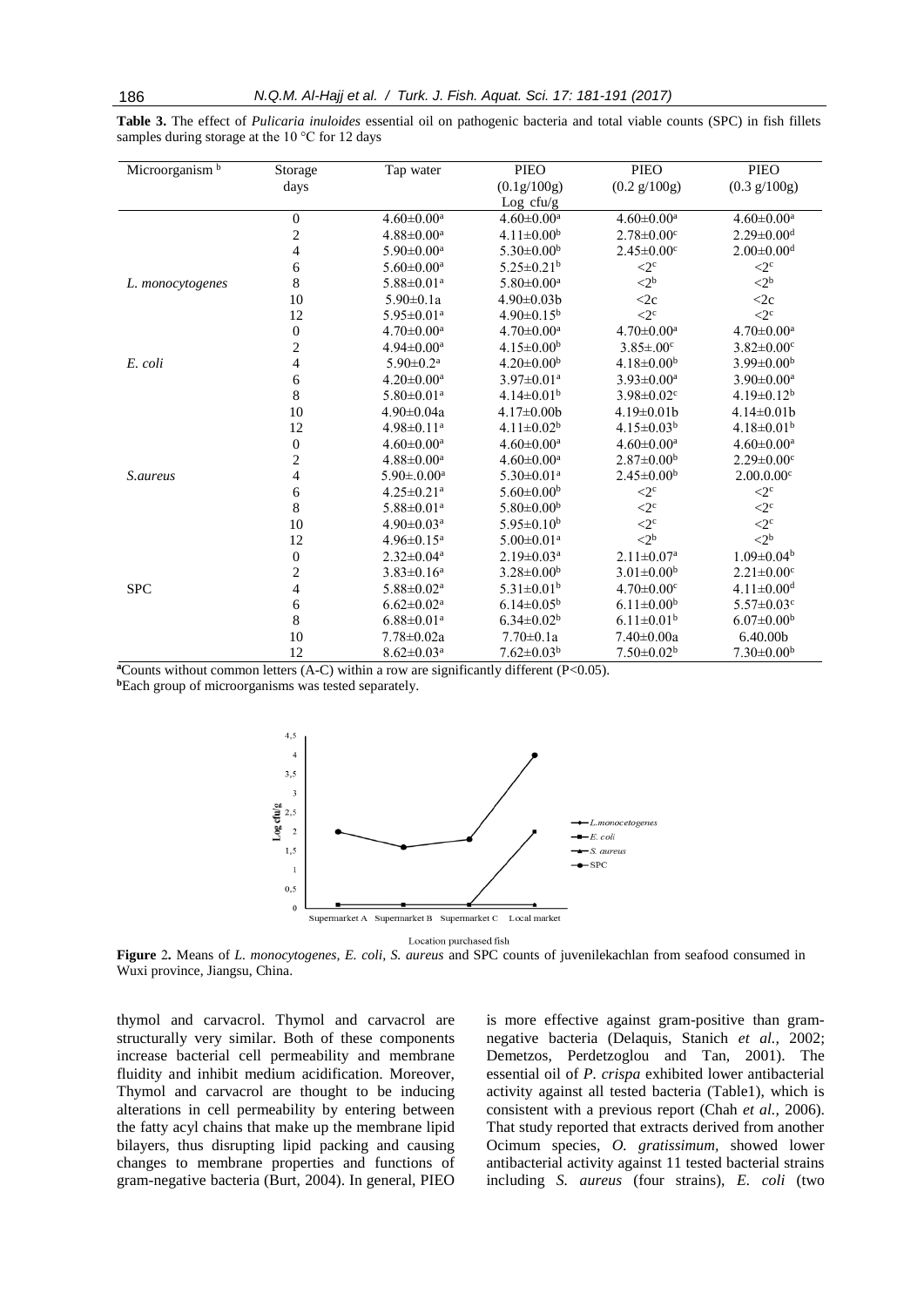| Microorganism <sup>b</sup> | Storage                 | Tap water                    | <b>PIEO</b>                  | <b>PIEO</b>                     | <b>PIEO</b>                     |
|----------------------------|-------------------------|------------------------------|------------------------------|---------------------------------|---------------------------------|
|                            | days                    |                              | (0.1g/100g)                  | $(0.2 \text{ g}/100 \text{ g})$ | $(0.3 \text{ g}/100 \text{ g})$ |
|                            |                         |                              | Log cfu/g                    |                                 |                                 |
|                            | $\boldsymbol{0}$        | $4.60 \pm 0.00^a$            | $4.60 \pm 0.00^a$            | $4.60 \pm 0.00^a$               | $4.60 \pm 0.00^a$               |
|                            | $\overline{c}$          | $4.88 \pm 0.00^a$            | $4.11 \pm 0.00^b$            | $2.78 \pm 0.00$ <sup>c</sup>    | $2.29 \pm 0.00$ <sup>d</sup>    |
|                            | 4                       | $5.90 \pm 0.00^a$            | $5.30 \pm 0.00^{\rm b}$      | $2.45 \pm 0.00$ <sup>c</sup>    | $2.00 \pm 0.00$ <sup>d</sup>    |
|                            | 6                       | $5.60 \pm 0.00^a$            | $5.25 \pm 0.21^{\rm b}$      | $\langle 2^{\circ}$             | $\leq 2^c$                      |
| L. monocytogenes           | 8                       | $5.88 \pm 0.01$ <sup>a</sup> | $5.80 \pm 0.00$ <sup>a</sup> | $<$ 2 <sup>b</sup>              | $\langle 2^b$                   |
|                            | 10                      | $5.90 \pm 0.1a$              | $4.90 \pm 0.03$ b            | $\langle 2c$                    | $<$ 2 $c$                       |
|                            | 12                      | $5.95 \pm 0.01$ <sup>a</sup> | $4.90 \pm 0.15^{\rm b}$      | $\langle 2^{\circ}$             | $\langle 2^{\rm c}$             |
|                            | $\boldsymbol{0}$        | $4.70 \pm 0.00^a$            | $4.70 \pm 0.00^a$            | $4.70 \pm 0.00^a$               | $4.70 \pm 0.00^a$               |
|                            | $\overline{\mathbf{c}}$ | $4.94 \pm 0.00^a$            | $4.15 \pm 0.00^b$            | $3.85 \pm .00^{\circ}$          | $3.82 \pm 0.00$ c               |
| E. coli                    | 4                       | $5.90 \pm 0.2^{\text{a}}$    | $4.20 \pm 0.00^{\rm b}$      | $4.18 \pm 0.00^b$               | $3.99 \pm 0.00^b$               |
|                            | 6                       | $4.20 \pm 0.00^{\text{a}}$   | $3.97 \pm 0.01$ <sup>a</sup> | $3.93 \pm 0.00^a$               | $3.90 \pm 0.00^a$               |
|                            | 8                       | $5.80 \pm 0.01$ <sup>a</sup> | $4.14 \pm 0.01^{\rm b}$      | $3.98 \pm 0.02$ <sup>c</sup>    | $4.19 \pm 0.12^b$               |
|                            | 10                      | $4.90 \pm 0.04a$             | $4.17\pm0.00b$               | $4.19 \pm 0.01$                 | $4.14\pm0.01b$                  |
|                            | 12                      | $4.98 \pm 0.11$ <sup>a</sup> | $4.11 \pm 0.02^b$            | $4.15 \pm 0.03^b$               | $4.18 \pm 0.01^{\rm b}$         |
|                            | $\overline{0}$          | $4.60 \pm 0.00^a$            | $4.60 \pm 0.00^a$            | $4.60 \pm 0.00^a$               | $4.60 \pm 0.00^a$               |
|                            | $\overline{\mathbf{c}}$ | $4.88 \pm 0.00^a$            | $4.60 \pm 0.00^a$            | $2.87 \pm 0.00^b$               | $2.29 \pm 0.00$ <sup>c</sup>    |
| S.aureus                   | 4                       | $5.90 \pm 0.00^{\text{a}}$   | $5.30 \pm 0.01$ <sup>a</sup> | $2.45 \pm 0.00^b$               | 2.00.0.00c                      |
|                            | 6                       | $4.25 \pm 0.21$ <sup>a</sup> | $5.60 \pm 0.00^{\rm b}$      | $\langle 2^{\rm c}$             | $\langle 2^{\rm c}$             |
|                            | 8                       | $5.88 \pm 0.01^a$            | $5.80 \pm 0.00^{\rm b}$      | $\langle 2^{\rm c}$             | $\leq 2^{\circ}$                |
|                            | 10                      | $4.90 \pm 0.03$ <sup>a</sup> | $5.95 \pm 0.10^b$            | $\langle 2^{\circ}$             | $\langle 2^{\circ}$             |
|                            | 12                      | $4.96 \pm 0.15^{\text{a}}$   | $5.00 \pm 0.01$ <sup>a</sup> | $\leq 2^{\rm b}$                | $\langle 2^{\rm b}$             |
|                            | $\boldsymbol{0}$        | $2.32 \pm 0.04^a$            | $2.19 \pm 0.03$ <sup>a</sup> | $2.11 \pm 0.07$ <sup>a</sup>    | $1.09 \pm 0.04^b$               |
|                            | $\overline{c}$          | $3.83 \pm 0.16^a$            | $3.28 \pm 0.00^b$            | $3.01 \pm 0.00^b$               | $2.21 \pm 0.00$ <sup>c</sup>    |
| <b>SPC</b>                 | 4                       | $5.88 \pm 0.02^a$            | $5.31 \pm 0.01^{\rm b}$      | $4.70 \pm 0.00$ <sup>c</sup>    | $4.11 \pm 0.00$ <sup>d</sup>    |
|                            | 6                       | $6.62 \pm 0.02^a$            | $6.14 \pm 0.05^{\rm b}$      | $6.11 \pm 0.00^b$               | $5.57 \pm 0.03$ <sup>c</sup>    |
|                            | 8                       | $6.88 \pm 0.01^a$            | $6.34 \pm 0.02^b$            | $6.11 \pm 0.01$ <sup>b</sup>    | $6.07 \pm 0.00$ <sup>b</sup>    |
|                            | 10                      | $7.78 \pm 0.02a$             | $7.70 \pm 0.1a$              | $7.40 \pm 0.00a$                | 6.40.00b                        |
|                            | 12                      | $8.62 \pm 0.03$ <sup>a</sup> | $7.62 \pm 0.03^b$            | $7.50 \pm 0.02^b$               | $7.30 \pm 0.00^b$               |

**Table 3.** The effect of *Pulicaria inuloides* essential oil on pathogenic bacteria and total viable counts (SPC) in fish fillets samples during storage at the 10 °C for 12 days

**a**Counts without common letters (A-C) within a row are significantly different (P<0.05).

**<sup>b</sup>**Each group of microorganisms was tested separately.



**Figure** 2*.* Means of *L. monocytogenes, E. coli, S. aureus* and SPC counts of juvenilekachlan from seafood consumed in Wuxi province, Jiangsu, China.

thymol and carvacrol. Thymol and carvacrol are structurally very similar. Both of these components increase bacterial cell permeability and membrane fluidity and inhibit medium acidification. Moreover, Thymol and carvacrol are thought to be inducing alterations in cell permeability by entering between the fatty acyl chains that make up the membrane lipid bilayers, thus disrupting lipid packing and causing changes to membrane properties and functions of gram-negative bacteria (Burt, 2004). In general, PIEO is more effective against gram-positive than gramnegative bacteria (Delaquis, Stanich *et al.,* 2002; Demetzos, Perdetzoglou and Tan, 2001). The essential oil of *P. crispa* exhibited lower antibacterial activity against all tested bacteria (Table1), which is consistent with a previous report (Chah *et al.,* 2006). That study reported that extracts derived from another Ocimum species, *O. gratissimum,* showed lower antibacterial activity against 11 tested bacterial strains including *S. aureus* (four strains), *E. coli* (two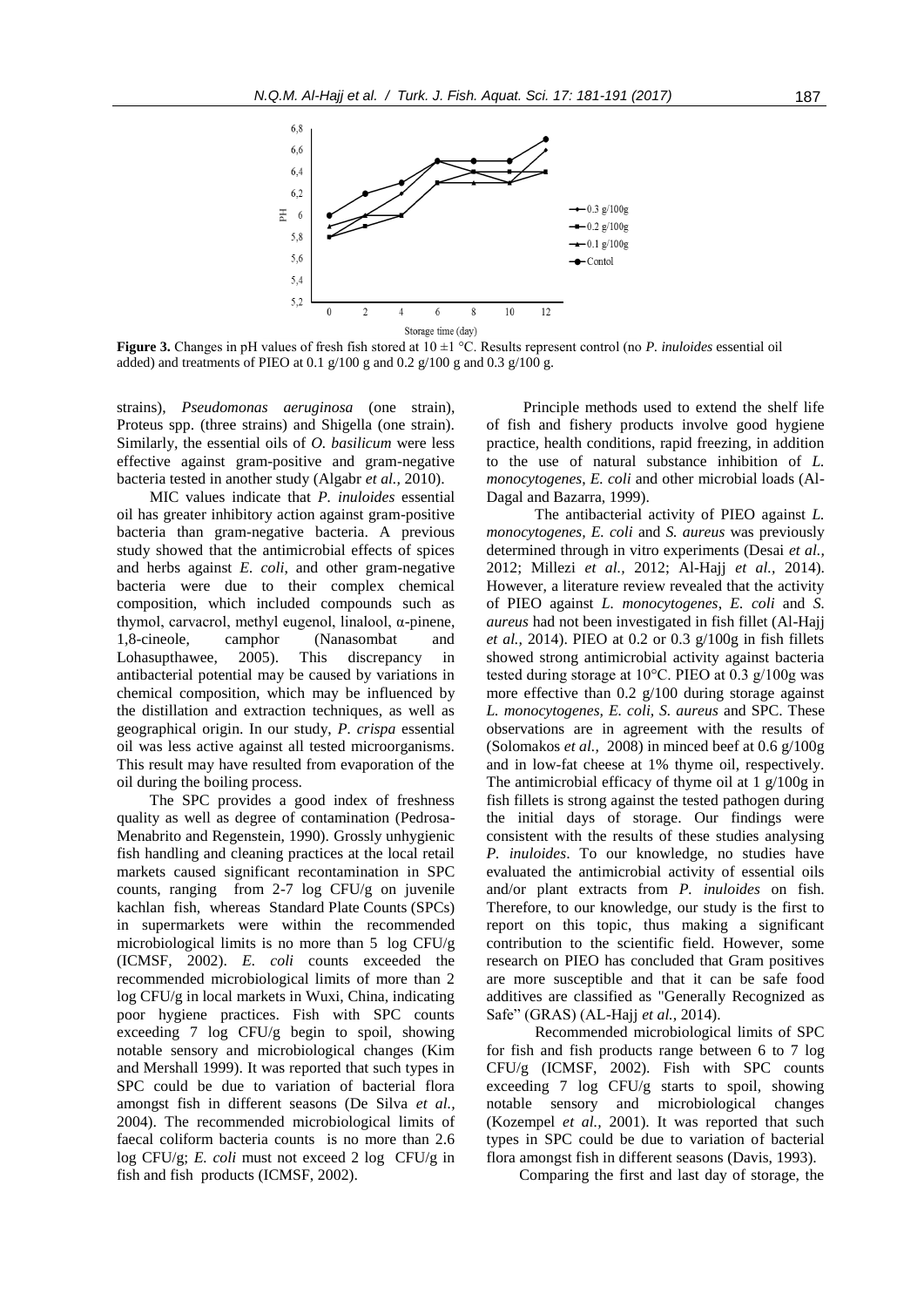

**Figure 3.** Changes in pH values of fresh fish stored at 10 ±1 °C. Results represent control (no *P. inuloides* essential oil added) and treatments of PIEO at 0.1 g/100 g and 0.2 g/100 g and 0.3 g/100 g.

strains), *Pseudomonas aeruginosa* (one strain), Proteus spp. (three strains) and Shigella (one strain). Similarly, the essential oils of *O. basilicum* were less effective against gram-positive and gram-negative bacteria tested in another study (Algabr *et al.,* 2010).

MIC values indicate that *P. inuloides* essential oil has greater inhibitory action against gram-positive bacteria than gram-negative bacteria. A previous study showed that the antimicrobial effects of spices and herbs against *E. coli*, and other gram-negative bacteria were due to their complex chemical composition, which included compounds such as thymol, carvacrol, methyl eugenol, linalool, α-pinene, 1,8-cineole, camphor (Nanasombat and Lohasupthawee, 2005). This discrepancy in antibacterial potential may be caused by variations in chemical composition, which may be influenced by the distillation and extraction techniques, as well as geographical origin. In our study, *P. crispa* essential oil was less active against all tested microorganisms. This result may have resulted from evaporation of the oil during the boiling process.

The SPC provides a good index of freshness quality as well as degree of contamination (Pedrosa-Menabrito and Regenstein, 1990). Grossly unhygienic fish handling and cleaning practices at the local retail markets caused significant recontamination in SPC counts, ranging from 2-7 log CFU/g on juvenile kachlan fish, whereas [Standard](http://www.covm.uobaghdad.edu.iq/uploads%5Cdepartments%5CPublic%20health/SPC.docx) Plate Counts (SPCs) in supermarkets were within the recommended microbiological limits is no more than 5 log CFU/g (ICMSF, 2002). *E. coli* counts exceeded the recommended microbiological limits of more than 2 log CFU/g in local markets in Wuxi, China, indicating poor hygiene practices. Fish with SPC counts exceeding 7 log CFU/g begin to spoil, showing notable sensory and microbiological changes (Kim and Mershall 1999). It was reported that such types in SPC could be due to variation of bacterial flora amongst fish in different seasons (De Silva *et al.,* 2004). The recommended microbiological limits of faecal coliform bacteria counts is no more than 2.6 log CFU/g; *E. coli* must not exceed 2 log CFU/g in fish and fish products (ICMSF, 2002).

Principle methods used to extend the shelf life of fish and fishery products involve good hygiene practice, health conditions, rapid freezing, in addition to the use of natural substance inhibition of *L. monocytogenes*, *E. coli* and other microbial loads (Al-Dagal and Bazarra, 1999).

 The antibacterial activity of PIEO against *L. monocytogenes, E. coli* and *S. aureus* was previously determined through in vitro experiments (Desai *et al.,* 2012; Millezi *et al.,* 2012; Al-Hajj *et al.,* 2014). However, a literature review revealed that the activity of PIEO against *L. monocytogenes*, *E. coli* and *S. aureus* had not been investigated in fish fillet (Al-Hajj *et al.,* 2014). PIEO at 0.2 or 0.3 g/100g in fish fillets showed strong antimicrobial activity against bacteria tested during storage at 10°C. PIEO at 0.3 g/100g was more effective than  $0.2$  g/100 during storage against *L. monocytogenes, E. coli, S. aureus* and SPC. These observations are in agreement with the results of (Solomakos *et al.,* 2008) in minced beef at 0.6 g/100g and in low-fat cheese at 1% thyme oil, respectively. The antimicrobial efficacy of thyme oil at 1 g/100g in fish fillets is strong against the tested pathogen during the initial days of storage. Our findings were consistent with the results of these studies analysing *P. inuloides*. To our knowledge, no studies have evaluated the antimicrobial activity of essential oils and/or plant extracts from *P. inuloides* on fish. Therefore, to our knowledge, our study is the first to report on this topic, thus making a significant contribution to the scientific field. However, some research on PIEO has concluded that Gram positives are more susceptible and that it can be safe food additives are classified as "Generally Recognized as Safe" (GRAS) (AL-Hajj *et al.,* 2014).

 Recommended microbiological limits of SPC for fish and fish products range between 6 to 7 log CFU/g (ICMSF, 2002). Fish with SPC counts exceeding 7 log CFU/g starts to spoil, showing notable sensory and microbiological changes (Kozempel *et al.,* 2001). It was reported that such types in SPC could be due to variation of bacterial flora amongst fish in different seasons (Davis, 1993).

Comparing the first and last day of storage, the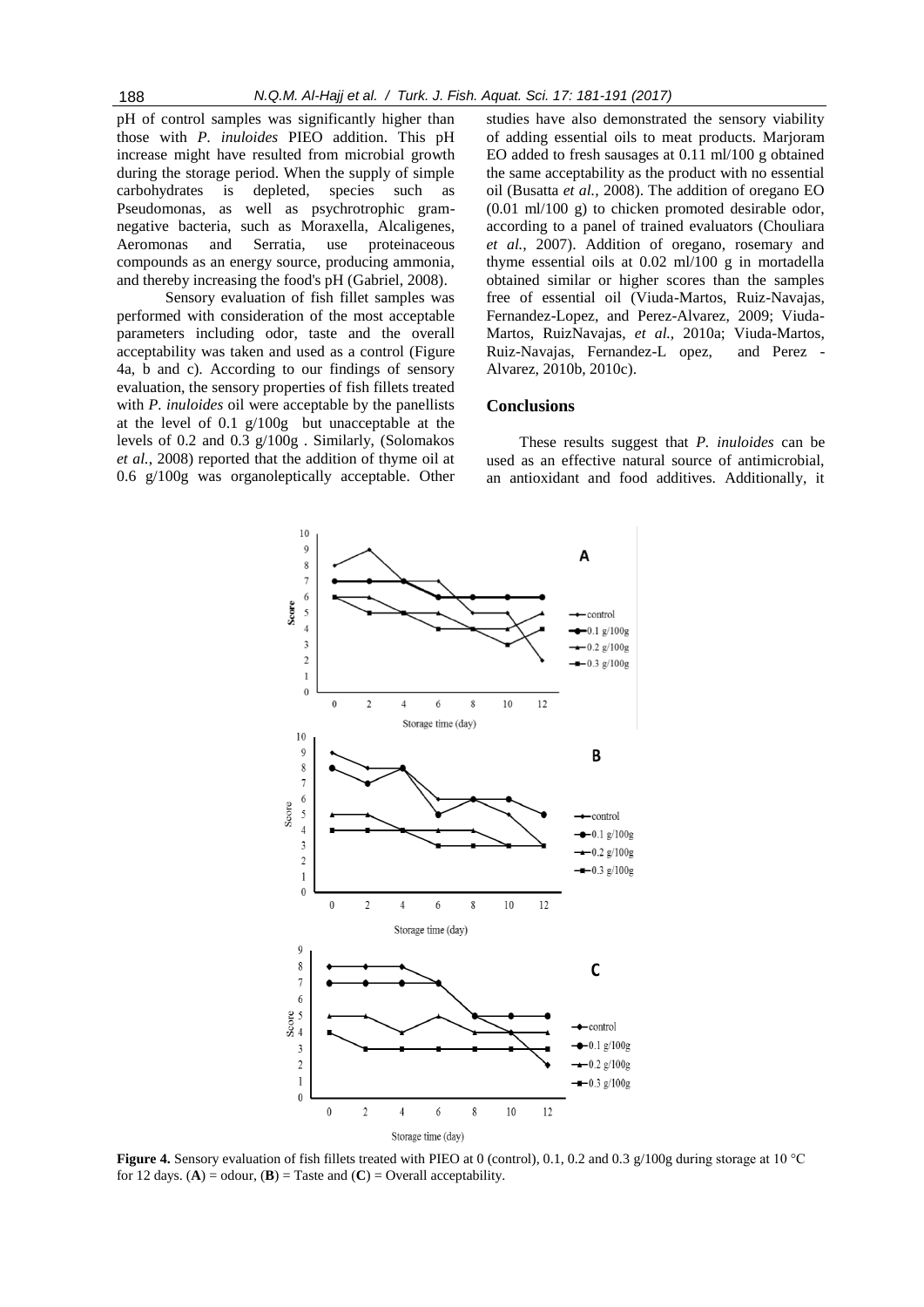pH of control samples was significantly higher than those with *P. inuloides* PIEO addition. This pH increase might have resulted from microbial growth during the storage period. When the supply of simple carbohydrates is depleted, species such as Pseudomonas, as well as psychrotrophic gramnegative bacteria, such as Moraxella, Alcaligenes, Aeromonas and Serratia, use proteinaceous compounds as an energy source, producing ammonia, and thereby increasing the food's pH (Gabriel, 2008).

 Sensory evaluation of fish fillet samples was performed with consideration of the most acceptable parameters including odor, taste and the overall acceptability was taken and used as a control (Figure 4a, b and c). According to our findings of sensory evaluation, the sensory properties of fish fillets treated with *P. inuloides* oil were acceptable by the panellists at the level of 0.1 g/100g but unacceptable at the levels of 0.2 and 0.3 g/100g . Similarly, (Solomakos *et al.*, 2008) reported that the addition of thyme oil at 0.6 g/100g was organoleptically acceptable. Other

studies have also demonstrated the sensory viability of adding essential oils to meat products. Marjoram EO added to fresh sausages at 0.11 ml/100 g obtained the same acceptability as the product with no essential oil (Busatta *et al.,* 2008). The addition of oregano EO (0.01 ml/100 g) to chicken promoted desirable odor, according to a panel of trained evaluators (Chouliara *et al.,* 2007). Addition of oregano, rosemary and thyme essential oils at 0.02 ml/100 g in mortadella obtained similar or higher scores than the samples free of essential oil (Viuda-Martos, Ruiz-Navajas, Fernandez-Lopez, and Perez-Alvarez, 2009; Viuda-Martos, RuizNavajas, *et al.,* 2010a; Viuda-Martos, Ruiz-Navajas, Fernandez-L opez, and Perez - Alvarez, 2010b, 2010c).

# **Conclusions**

These results suggest that *P. inuloides* can be used as an effective natural source of antimicrobial, an antioxidant and food additives. Additionally, it



**Figure 4.** Sensory evaluation of fish fillets treated with PIEO at 0 (control), 0.1, 0.2 and 0.3 g/100g during storage at 10 °C for 12 days. (**A**) = odour, (**B**) = Taste and (**C**) = Overall acceptability.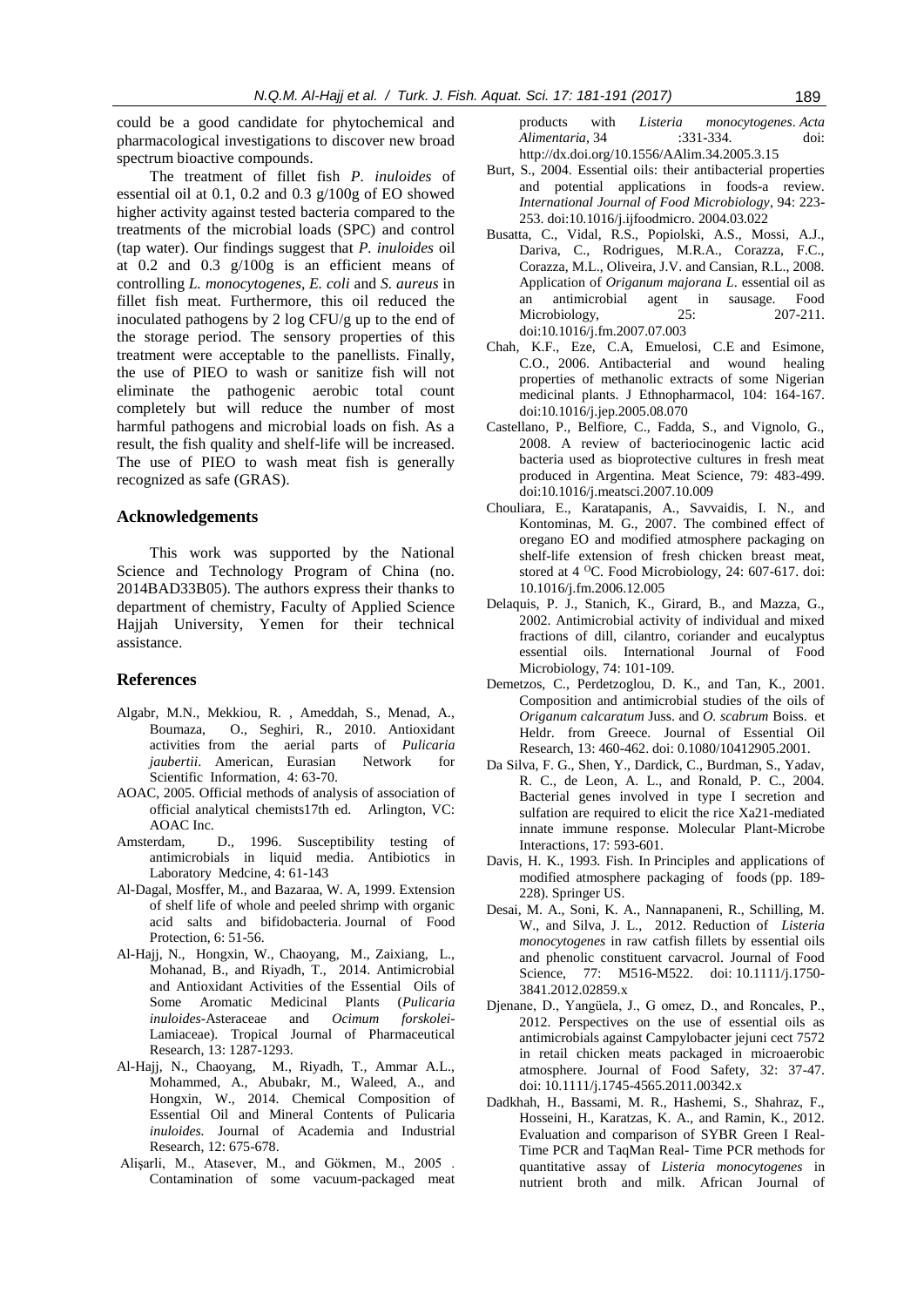could be a good candidate for phytochemical and pharmacological investigations to discover new broad spectrum bioactive compounds.

The treatment of fillet fish *P. inuloides* of essential oil at 0.1, 0.2 and 0.3 g/100g of EO showed higher activity against tested bacteria compared to the treatments of the microbial loads (SPC) and control (tap water). Our findings suggest that *P. inuloides* oil at 0.2 and 0.3 g/100g is an efficient means of controlling *L. monocytogenes, E. coli* and *S. aureus* in fillet fish meat. Furthermore, this oil reduced the inoculated pathogens by 2 log CFU/g up to the end of the storage period. The sensory properties of this treatment were acceptable to the panellists. Finally, the use of PIEO to wash or sanitize fish will not eliminate the pathogenic aerobic total count completely but will reduce the number of most harmful pathogens and microbial loads on fish. As a result, the fish quality and shelf-life will be increased. The use of PIEO to wash meat fish is generally recognized as safe (GRAS).

# **Acknowledgements**

This work was supported by the National Science and Technology Program of China (no. 2014BAD33B05). The authors express their thanks to department of chemistry, Faculty of Applied Science Hajjah University, Yemen for their technical assistance.

#### **References**

- Algabr, M.N., Mekkiou, R. , Ameddah, S., Menad, A., Boumaza, O., Seghiri, R., 2010. Antioxidant activities from the aerial parts of *Pulicaria jaubertii*. American, Eurasian Network for Scientific Information, 4: 63-70.
- AOAC, 2005. Official methods of analysis of association of official analytical chemists17th ed. Arlington, VC: AOAC Inc.
- Amsterdam, D., 1996. Susceptibility testing of antimicrobials in liquid media. Antibiotics in Laboratory Medcine, 4: 61-143
- Al-Dagal, Mosffer, M., and Bazaraa, W. A, 1999. Extension of shelf life of whole and peeled shrimp with organic acid salts and bifidobacteria. Journal of Food Protection, 6: 51-56.
- Al-Hajj, N., Hongxin, W., Chaoyang, M., Zaixiang, L., Mohanad, B., and Riyadh, T., 2014. Antimicrobial and Antioxidant Activities of the Essential Oils of Some Aromatic Medicinal Plants (*Pulicaria inuloides*-Asteraceae and *Ocimum forskolei*-Lamiaceae). Tropical Journal of Pharmaceutical Research, 13: 1287-1293.
- Al-Hajj, N., Chaoyang, M., Riyadh, T., Ammar A.L., Mohammed, A., Abubakr, M., Waleed, A., and Hongxin, W., 2014. Chemical Composition of Essential Oil and Mineral Contents of Pulicaria *inuloides.* Journal of Academia and Industrial Research, 12: 675-678.
- Alişarli, M., Atasever, M., and Gökmen, M., 2005 . Contamination of some vacuum-packaged meat

products with *Listeria monocytogenes*. *Acta Alimentaria*, 34 :331-334. doi: <http://dx.doi.org/10.1556/AAlim.34.2005.3.15>

- Burt, S., 2004. Essential oils: their antibacterial properties and potential applications in foods-a review. *International Journal of Food Microbiology*, 94: 223- 253[. doi:10.1016/j.ijfoodmicro. 2004.03.022](http://dx.doi.org/10.1016/j.ijfoodmicro.2004.03.022)
- Busatta, C., Vidal, R.S., Popiolski, A.S., Mossi, A.J., Dariva, C., Rodrigues, M.R.A., Corazza, F.C., Corazza, M.L., Oliveira, J.V. and Cansian, R.L., 2008. Application of *Origanum majorana L*. essential oil as an antimicrobial agent in sausage. Food Microbiology, 25: 207-211. [doi:10.1016/j.fm.2007.07.003](http://dx.doi.org/10.1016/j.fm.2007.07.003)
- Chah, K.F., Eze, C.A, Emuelosi, C.E and Esimone, C.O., 2006. Antibacterial and wound healing properties of methanolic extracts of some Nigerian medicinal plants. J Ethnopharmacol, 104: 164-167. [doi:10.1016/j.jep.2005.08.070](http://dx.doi.org/10.1016/j.jep.2005.08.070)
- Castellano, P., Belfiore, C., Fadda, S., and Vignolo, G., 2008. A review of bacteriocinogenic lactic acid bacteria used as bioprotective cultures in fresh meat produced in Argentina. Meat Science, 79: 483-499. [doi:10.1016/j.meatsci.2007.10.009](http://dx.doi.org/10.1016/j.meatsci.2007.10.009)
- Chouliara, E., Karatapanis, A., Savvaidis, I. N., and Kontominas, M. G., 2007. The combined effect of oregano EO and modified atmosphere packaging on shelf-life extension of fresh chicken breast meat, stored at 4 <sup>o</sup>C. Food Microbiology, 24: 607-617. doi: 10.1016/j.fm.2006.12.005
- Delaquis, P. J., Stanich, K., Girard, B., and Mazza, G., 2002. Antimicrobial activity of individual and mixed fractions of dill, cilantro, coriander and eucalyptus essential oils. International Journal of Food Microbiology, 74: 101-109.
- Demetzos, C., Perdetzoglou, D. K., and Tan, K., 2001. Composition and antimicrobial studies of the oils of *Origanum calcaratum* Juss. and *O. scabrum* Boiss. et Heldr. from Greece. Journal of Essential Oil Research, 13: 460-462. doi: 0.1080/10412905.2001.
- Da Silva, F. G., Shen, Y., Dardick, C., Burdman, S., Yadav, R. C., de Leon, A. L., and Ronald, P. C., 2004. Bacterial genes involved in type I secretion and sulfation are required to elicit the rice Xa21-mediated innate immune response. Molecular Plant-Microbe Interactions, 17: 593-601.
- Davis, H. K., 1993. Fish. In Principles and applications of modified atmosphere packaging of foods (pp. 189- 228). Springer US.
- Desai, M. A., Soni, K. A., Nannapaneni, R., Schilling, M. W., and Silva, J. L., 2012. Reduction of *Listeria monocytogenes* in raw catfish fillets by essential oils and phenolic constituent carvacrol. Journal of Food Science, 77: M516-M522. doi: 10.1111/j.1750- 3841.2012.02859.x
- Djenane, D., Yangüela, J., G omez, D., and Roncales, P., 2012. Perspectives on the use of essential oils as antimicrobials against Campylobacter jejuni cect 7572 in retail chicken meats packaged in microaerobic atmosphere. Journal of Food Safety, 32: 37-47. doi: 10.1111/j.1745-4565.2011.00342.x
- Dadkhah, H., Bassami, M. R., Hashemi, S., Shahraz, F., Hosseini, H., Karatzas, K. A., and Ramin, K., 2012. Evaluation and comparison of SYBR Green I Real-Time PCR and TaqMan Real- Time PCR methods for quantitative assay of *Listeria monocytogenes* in nutrient broth and milk. African Journal of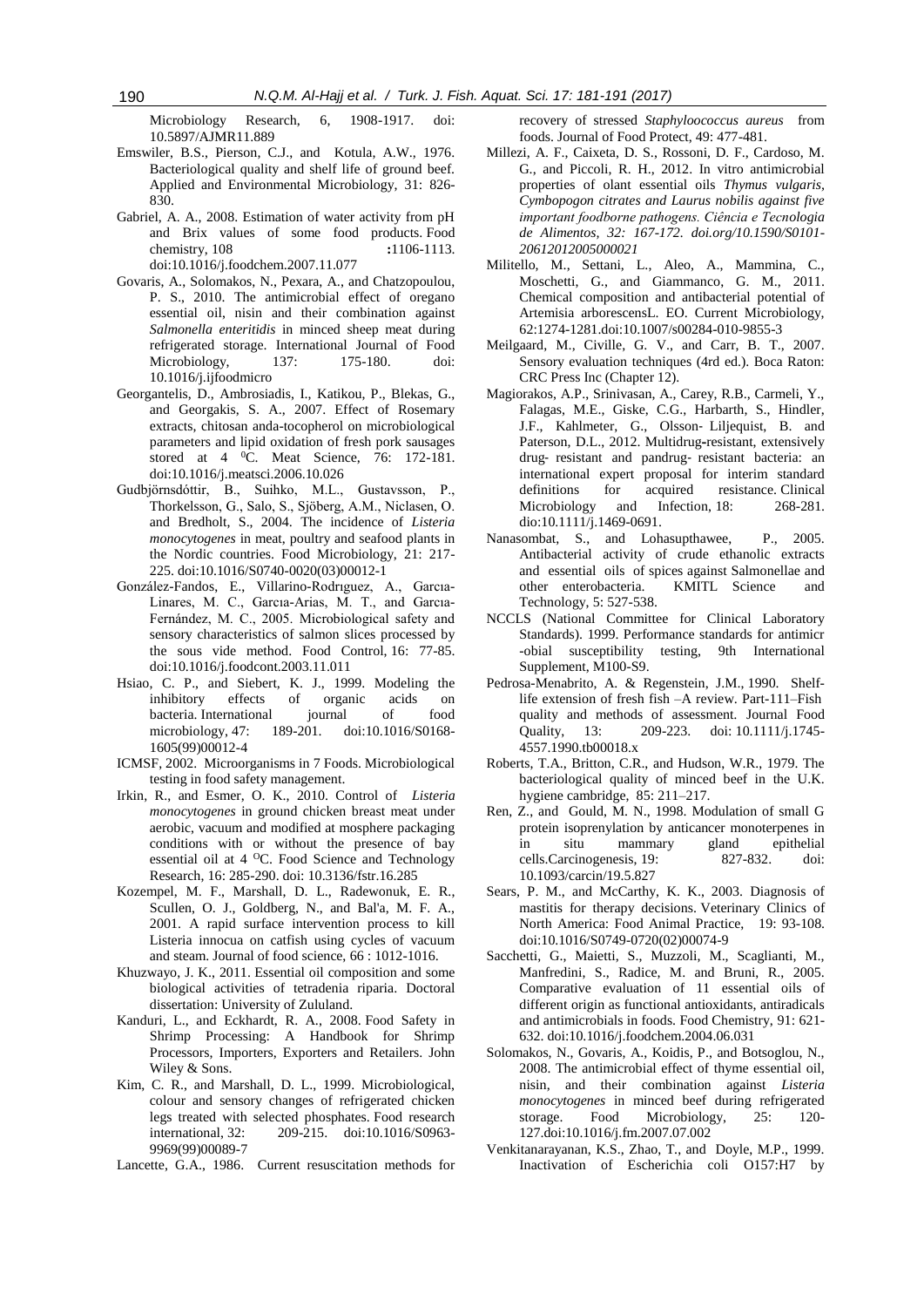Microbiology Research, 6, 1908-1917. doi: 10.5897/AJMR11.889

- Emswiler, B.S., Pierson, C.J., and Kotula, A.W., 1976. Bacteriological quality and shelf life of ground beef. Applied and Environmental Microbiology, 31: 826- 830.
- Gabriel, A. A., 2008. Estimation of water activity from pH and Brix values of some food products. Food chemistry, 108 **:**1106-1113. [doi:10.1016/j.foodchem.2007.11.077](http://dx.doi.org/10.1016/j.foodchem.2007.11.077)
- Govaris, A., Solomakos, N., Pexara, A., and Chatzopoulou, P. S., 2010. The antimicrobial effect of oregano essential oil, nisin and their combination against *Salmonella enteritidis* in minced sheep meat during refrigerated storage. International Journal of Food Microbiology, 137: 175-180. doi: 10.1016/j.ijfoodmicro
- Georgantelis, D., Ambrosiadis, I., Katikou, P., Blekas, G., and Georgakis, S. A., 2007. Effect of Rosemary extracts, chitosan anda-tocopherol on microbiological parameters and lipid oxidation of fresh pork sausages stored at 4 <sup>0</sup>C. Meat Science, 76: 172-181. [doi:10.1016/j.meatsci.2006.10.026](http://dx.doi.org/10.1016/j.meatsci.2006.10.026)
- Gudbjörnsdóttir, B., Suihko, M.L., Gustavsson, P., Thorkelsson, G., Salo, S., Sjöberg, A.M., Niclasen, O. and Bredholt, S., 2004. The incidence of *Listeria monocytogenes* in meat, poultry and seafood plants in the Nordic countries. Food Microbiology, 21: 217- 225[. doi:10.1016/S0740-0020\(03\)00012-1](http://dx.doi.org/10.1016/S0740-0020(03)00012-1)
- González-Fandos, E., Villarino-Rodrıguez, A., Garcıa-Linares, M. C., Garcıa-Arias, M. T., and Garcıa-Fernández, M. C., 2005. Microbiological safety and sensory characteristics of salmon slices processed by the sous vide method. Food Control, 16: 77-85. [doi:10.1016/j.foodcont.2003.11.011](http://dx.doi.org/10.1016/j.foodcont.2003.11.011)
- Hsiao, C. P., and Siebert, K. J., 1999. Modeling the inhibitory effects of organic acids on bacteria. International iournal of food microbiology, 47: 189-201. [doi:10.1016/S0168-](http://dx.doi.org/10.1016/S0168-1605(99)00012-4) [1605\(99\)00012-4](http://dx.doi.org/10.1016/S0168-1605(99)00012-4)
- ICMSF, 2002. Microorganisms in 7 Foods. Microbiological testing in food safety management.
- Irkin, R., and Esmer, O. K., 2010. Control of *Listeria monocytogenes* in ground chicken breast meat under aerobic, vacuum and modified at mosphere packaging conditions with or without the presence of bay essential oil at 4 <sup>o</sup>C. Food Science and Technology Research, 16: 285-290. doi: 10.3136/fstr.16.285
- Kozempel, M. F., Marshall, D. L., Radewonuk, E. R., Scullen, O. J., Goldberg, N., and Bal'a, M. F. A., 2001. A rapid surface intervention process to kill Listeria innocua on catfish using cycles of vacuum and steam. Journal of food science, 66 : 1012-1016.
- Khuzwayo, J. K., 2011. Essential oil composition and some biological activities of tetradenia riparia. Doctoral dissertation: University of Zululand.
- Kanduri, L., and Eckhardt, R. A., 2008. Food Safety in Shrimp Processing: A Handbook for Shrimp Processors, Importers, Exporters and Retailers. John Wiley & Sons.
- Kim, C. R., and Marshall, D. L., 1999. Microbiological, colour and sensory changes of refrigerated chicken legs treated with selected phosphates. Food research international, 32: 209-215. [doi:10.1016/S0963-](http://dx.doi.org/10.1016/S0963-9969(99)00089-7) [9969\(99\)00089-7](http://dx.doi.org/10.1016/S0963-9969(99)00089-7)
- Lancette, G.A., 1986. Current resuscitation methods for

recovery of stressed *Staphyloococcus aureus* from foods. Journal of Food Protect, 49: 477-481.

- Millezi, A. F., Caixeta, D. S., Rossoni, D. F., Cardoso, M. G., and Piccoli, R. H., 2012. In vitro antimicrobial properties of olant essential oils *Thymus vulgaris, Cymbopogon citrates and Laurus nobilis against five important foodborne pathogens. Ciência e Tecnologia de Alimentos, 32: 167-172. doi.org/10.1590/S0101- 20612012005000021*
- Militello, M., Settani, L., Aleo, A., Mammina, C., Moschetti, G., and Giammanco, G. M., 2011. Chemical composition and antibacterial potential of Artemisia arborescensL. EO. Current Microbiology, 62:1274-1281.doi:10.1007/s00284-010-9855-3
- Meilgaard, M., Civille, G. V., and Carr, B. T., 2007. Sensory evaluation techniques (4rd ed.). Boca Raton: CRC Press Inc (Chapter 12).
- Magiorakos, A.P., Srinivasan, A., Carey, R.B., Carmeli, Y., Falagas, M.E., Giske, C.G., Harbarth, S., Hindler, J.F., Kahlmeter, G., Olsson‐ Liljequist, B. and Paterson, D.L., 2012. Multidrug**-**resistant, extensively drug‐ resistant and pandrug‐ resistant bacteria: an international expert proposal for interim standard definitions for acquired resistance. Clinical Microbiology and Infection, 18: 268-281. dio:10.1111/j.1469-0691.
- Nanasombat, S., and Lohasupthawee, P., 2005. Antibacterial activity of crude ethanolic extracts and essential oils of spices against Salmonellae and other enterobacteria. KMITL Science and Technology, 5: 527-538.
- NCCLS (National Committee for Clinical Laboratory Standards). 1999. Performance standards for antimicr -obial susceptibility testing, 9th International Supplement, M100-S9.
- Pedrosa-Menabrito, A. & Regenstein, J.M., 1990. Shelflife extension of fresh fish –A review. Part-111–Fish quality and methods of assessment*.* Journal Food Quality, 13: 209-223. doi: 10.1111/j.1745- 4557.1990.tb00018.x
- Roberts, T.A., Britton, C.R., and Hudson, W.R., 1979. The bacteriological quality of minced beef in the U.K. hygiene cambridge, 85: 211–217.
- Ren, Z., and Gould, M. N., 1998. Modulation of small G protein isoprenylation by anticancer monoterpenes in in situ mammary gland epithelial cells.Carcinogenesis, 19: 827-832. doi: 10.1093/carcin/19.5.827
- Sears, P. M., and McCarthy, K. K., 2003. Diagnosis of mastitis for therapy decisions. Veterinary Clinics of North America: Food Animal Practice, 19: 93-108. doi:10.1016/S0749-0720(02)00074-9
- Sacchetti, G., Maietti, S., Muzzoli, M., Scaglianti, M., Manfredini, S., Radice, M. and Bruni, R., 2005. Comparative evaluation of 11 essential oils of different origin as functional antioxidants, antiradicals and antimicrobials in foods. Food Chemistry, 91: 621- 632[. doi:10.1016/j.foodchem.2004.06.031](http://dx.doi.org/10.1016/j.foodchem.2004.06.031)
- Solomakos, N., Govaris, A., Koidis, P., and Botsoglou, N., 2008. The antimicrobial effect of thyme essential oil, nisin, and their combination against *Listeria monocytogenes* in minced beef during refrigerated storage. Food Microbiology, 25: 120- 127.doi:10.1016/j.fm.2007.07.002
- Venkitanarayanan, K.S., Zhao, T., and Doyle, M.P., 1999. Inactivation of Escherichia coli O157:H7 by